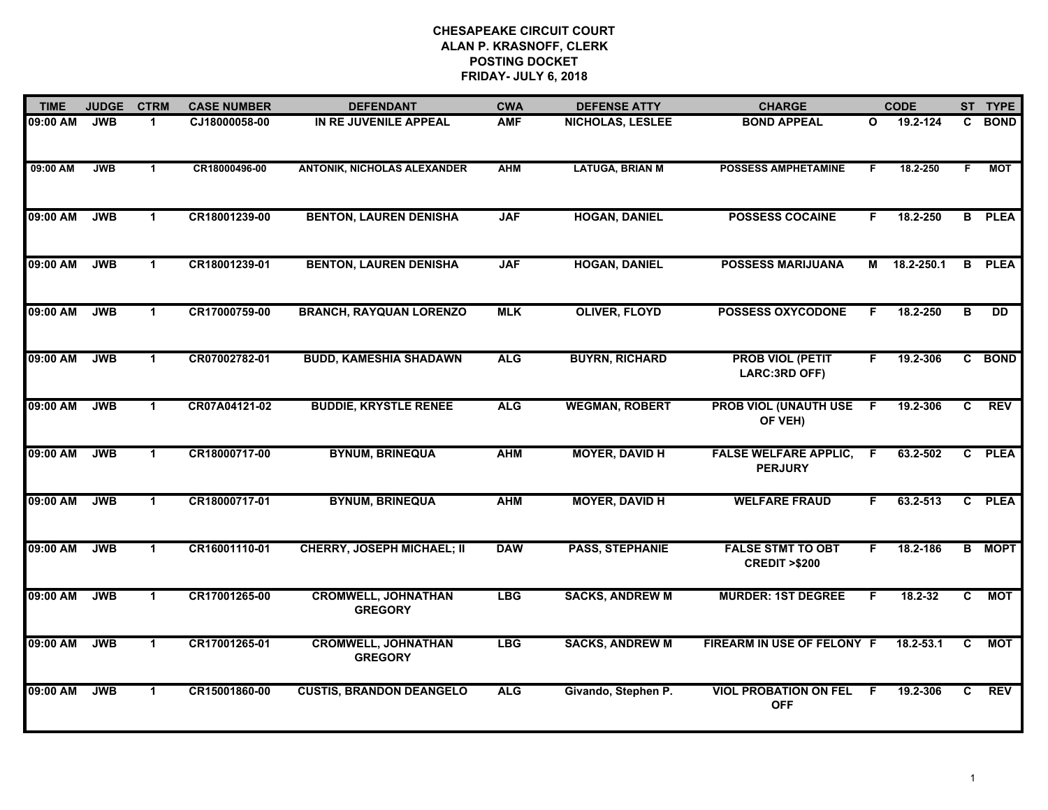| <b>TIME</b> | <b>JUDGE</b> | <b>CTRM</b>          | <b>CASE NUMBER</b> | <b>DEFENDANT</b>                             | <b>CWA</b> | <b>DEFENSE ATTY</b>     | <b>CHARGE</b>                                       |              | <b>CODE</b> |                         | ST TYPE       |
|-------------|--------------|----------------------|--------------------|----------------------------------------------|------------|-------------------------|-----------------------------------------------------|--------------|-------------|-------------------------|---------------|
| 09:00 AM    | <b>JWB</b>   | $\mathbf 1$          | CJ18000058-00      | IN RE JUVENILE APPEAL                        | <b>AMF</b> | <b>NICHOLAS, LESLEE</b> | <b>BOND APPEAL</b>                                  | $\mathbf{o}$ | 19.2-124    | C.                      | <b>BOND</b>   |
| 09:00 AM    | <b>JWB</b>   | $\overline{1}$       | CR18000496-00      | <b>ANTONIK, NICHOLAS ALEXANDER</b>           | <b>AHM</b> | <b>LATUGA, BRIAN M</b>  | <b>POSSESS AMPHETAMINE</b>                          | F            | 18.2-250    | F                       | <b>MOT</b>    |
| 09:00 AM    | <b>JWB</b>   | $\mathbf{1}$         | CR18001239-00      | <b>BENTON, LAUREN DENISHA</b>                | <b>JAF</b> | <b>HOGAN, DANIEL</b>    | <b>POSSESS COCAINE</b>                              | F.           | 18.2-250    |                         | <b>B</b> PLEA |
| 09:00 AM    | <b>JWB</b>   | $\mathbf 1$          | CR18001239-01      | <b>BENTON, LAUREN DENISHA</b>                | <b>JAF</b> | <b>HOGAN, DANIEL</b>    | <b>POSSESS MARIJUANA</b>                            | М            | 18.2-250.1  |                         | <b>B</b> PLEA |
| 09:00 AM    | <b>JWB</b>   | $\mathbf 1$          | CR17000759-00      | <b>BRANCH, RAYQUAN LORENZO</b>               | <b>MLK</b> | <b>OLIVER, FLOYD</b>    | <b>POSSESS OXYCODONE</b>                            | F.           | 18.2-250    | $\overline{\mathbf{B}}$ | <b>DD</b>     |
| 09:00 AM    | <b>JWB</b>   | $\blacktriangleleft$ | CR07002782-01      | <b>BUDD, KAMESHIA SHADAWN</b>                | <b>ALG</b> | <b>BUYRN, RICHARD</b>   | <b>PROB VIOL (PETIT</b><br>LARC:3RD OFF)            | F.           | 19.2-306    |                         | C BOND        |
| 09:00 AM    | <b>JWB</b>   | $\mathbf{1}$         | CR07A04121-02      | <b>BUDDIE, KRYSTLE RENEE</b>                 | <b>ALG</b> | <b>WEGMAN, ROBERT</b>   | <b>PROB VIOL (UNAUTH USE F</b><br>OF VEH)           |              | 19.2-306    | $\mathbf{C}$            | <b>REV</b>    |
| 09:00 AM    | <b>JWB</b>   | $\mathbf{1}$         | CR18000717-00      | <b>BYNUM, BRINEQUA</b>                       | <b>AHM</b> | <b>MOYER, DAVID H</b>   | <b>FALSE WELFARE APPLIC,</b><br><b>PERJURY</b>      | -F           | 63.2-502    |                         | C PLEA        |
| 09:00 AM    | <b>JWB</b>   | $\blacktriangleleft$ | CR18000717-01      | <b>BYNUM, BRINEQUA</b>                       | <b>AHM</b> | <b>MOYER, DAVID H</b>   | <b>WELFARE FRAUD</b>                                | F.           | 63.2-513    |                         | C PLEA        |
| 09:00 AM    | <b>JWB</b>   | $\mathbf 1$          | CR16001110-01      | <b>CHERRY, JOSEPH MICHAEL; II</b>            | <b>DAW</b> | <b>PASS, STEPHANIE</b>  | <b>FALSE STMT TO OBT</b><br><b>CREDIT &gt;\$200</b> | F            | 18.2-186    |                         | <b>B</b> MOPT |
| 09:00 AM    | <b>JWB</b>   | $\mathbf{1}$         | CR17001265-00      | <b>CROMWELL, JOHNATHAN</b><br><b>GREGORY</b> | <b>LBG</b> | <b>SACKS, ANDREW M</b>  | <b>MURDER: 1ST DEGREE</b>                           | F            | 18.2-32     | $\mathbf{C}$            | <b>MOT</b>    |
| 09:00 AM    | <b>JWB</b>   | $\mathbf{1}$         | CR17001265-01      | <b>CROMWELL, JOHNATHAN</b><br><b>GREGORY</b> | <b>LBG</b> | <b>SACKS, ANDREW M</b>  | FIREARM IN USE OF FELONY F                          |              | 18.2-53.1   | C                       | <b>MOT</b>    |
| 09:00 AM    | <b>JWB</b>   | $\blacktriangleleft$ | CR15001860-00      | <b>CUSTIS, BRANDON DEANGELO</b>              | <b>ALG</b> | Givando, Stephen P.     | <b>VIOL PROBATION ON FEL</b><br><b>OFF</b>          | F.           | 19.2-306    | C                       | <b>REV</b>    |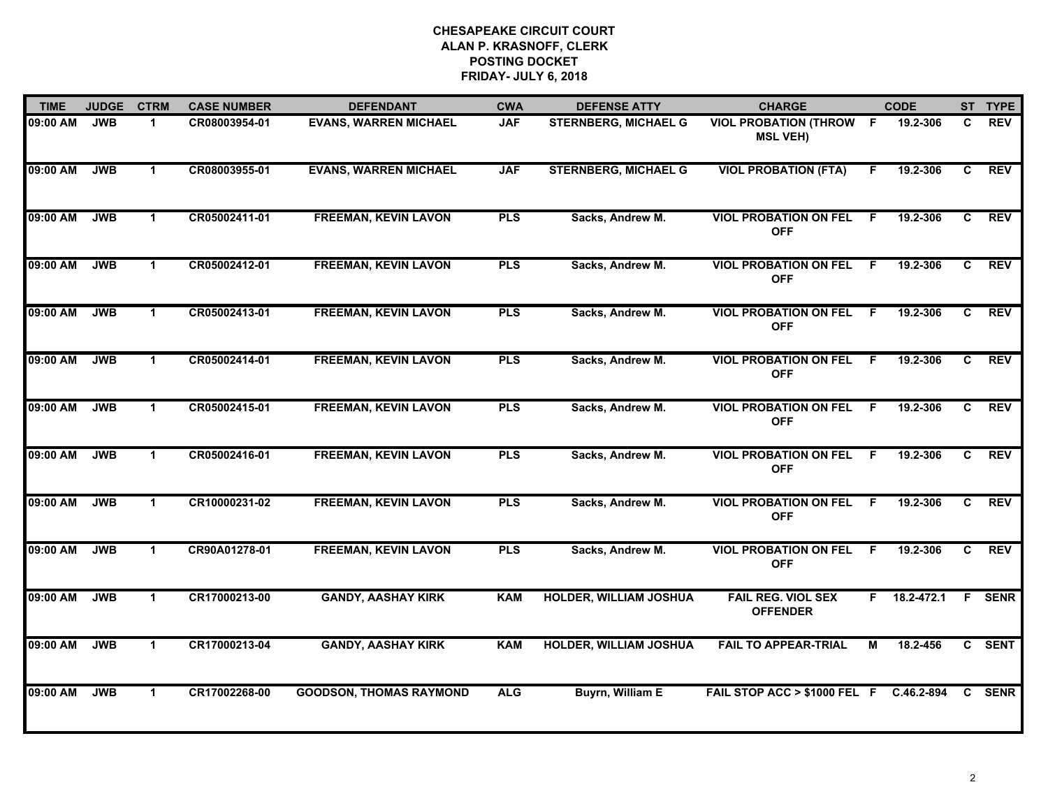| <b>TIME</b> | <b>JUDGE</b> | <b>CTRM</b>          | <b>CASE NUMBER</b> | <b>DEFENDANT</b>               | <b>CWA</b> | <b>DEFENSE ATTY</b>           | <b>CHARGE</b>                                     |     | <b>CODE</b> |              | ST TYPE       |
|-------------|--------------|----------------------|--------------------|--------------------------------|------------|-------------------------------|---------------------------------------------------|-----|-------------|--------------|---------------|
| 09:00 AM    | <b>JWB</b>   | $\mathbf{1}$         | CR08003954-01      | <b>EVANS, WARREN MICHAEL</b>   | <b>JAF</b> | <b>STERNBERG, MICHAEL G</b>   | <b>VIOL PROBATION (THROW F</b><br><b>MSL VEH)</b> |     | 19.2-306    | C            | <b>REV</b>    |
| 09:00 AM    | <b>JWB</b>   | $\blacktriangleleft$ | CR08003955-01      | <b>EVANS, WARREN MICHAEL</b>   | <b>JAF</b> | <b>STERNBERG, MICHAEL G</b>   | <b>VIOL PROBATION (FTA)</b>                       | F   | 19.2-306    | C.           | <b>REV</b>    |
| 09:00 AM    | <b>JWB</b>   | $\blacktriangleleft$ | CR05002411-01      | <b>FREEMAN, KEVIN LAVON</b>    | <b>PLS</b> | Sacks, Andrew M.              | <b>VIOL PROBATION ON FEL</b><br><b>OFF</b>        | F.  | 19.2-306    | C            | <b>REV</b>    |
| 09:00 AM    | <b>JWB</b>   | $\mathbf 1$          | CR05002412-01      | <b>FREEMAN, KEVIN LAVON</b>    | <b>PLS</b> | Sacks, Andrew M.              | <b>VIOL PROBATION ON FEL</b><br><b>OFF</b>        | -F  | 19.2-306    | C.           | <b>REV</b>    |
| 09:00 AM    | <b>JWB</b>   | $\mathbf 1$          | CR05002413-01      | <b>FREEMAN, KEVIN LAVON</b>    | <b>PLS</b> | Sacks, Andrew M.              | <b>VIOL PROBATION ON FEL</b><br><b>OFF</b>        | -F  | 19.2-306    | C            | <b>REV</b>    |
| 09:00 AM    | <b>JWB</b>   | $\blacktriangleleft$ | CR05002414-01      | <b>FREEMAN, KEVIN LAVON</b>    | <b>PLS</b> | Sacks, Andrew M.              | <b>VIOL PROBATION ON FEL F</b><br><b>OFF</b>      |     | 19.2-306    | C            | <b>REV</b>    |
| 09:00 AM    | <b>JWB</b>   | $\mathbf{1}$         | CR05002415-01      | <b>FREEMAN, KEVIN LAVON</b>    | <b>PLS</b> | Sacks, Andrew M.              | <b>VIOL PROBATION ON FEL</b><br><b>OFF</b>        | - F | 19.2-306    | C            | <b>REV</b>    |
| 09:00 AM    | <b>JWB</b>   | $\mathbf 1$          | CR05002416-01      | <b>FREEMAN, KEVIN LAVON</b>    | <b>PLS</b> | Sacks, Andrew M.              | <b>VIOL PROBATION ON FEL</b><br><b>OFF</b>        | -F  | 19.2-306    | C.           | <b>REV</b>    |
| 09:00 AM    | <b>JWB</b>   | $\blacktriangleleft$ | CR10000231-02      | <b>FREEMAN, KEVIN LAVON</b>    | <b>PLS</b> | Sacks, Andrew M.              | <b>VIOL PROBATION ON FEL</b><br><b>OFF</b>        | -F  | 19.2-306    | C            | <b>REV</b>    |
| 09:00 AM    | <b>JWB</b>   | $\blacktriangleleft$ | CR90A01278-01      | <b>FREEMAN, KEVIN LAVON</b>    | <b>PLS</b> | Sacks, Andrew M.              | <b>VIOL PROBATION ON FEL</b><br><b>OFF</b>        | -F  | 19.2-306    | C.           | <b>REV</b>    |
| 09:00 AM    | <b>JWB</b>   | $\mathbf 1$          | CR17000213-00      | <b>GANDY, AASHAY KIRK</b>      | <b>KAM</b> | <b>HOLDER, WILLIAM JOSHUA</b> | <b>FAIL REG. VIOL SEX</b><br><b>OFFENDER</b>      | F.  | 18.2-472.1  |              | <b>F</b> SENR |
| 09:00 AM    | <b>JWB</b>   | $\mathbf{1}$         | CR17000213-04      | <b>GANDY, AASHAY KIRK</b>      | <b>KAM</b> | <b>HOLDER, WILLIAM JOSHUA</b> | <b>FAIL TO APPEAR-TRIAL</b>                       | М   | 18.2-456    |              | C SENT        |
| 09:00 AM    | <b>JWB</b>   | $\mathbf 1$          | CR17002268-00      | <b>GOODSON, THOMAS RAYMOND</b> | <b>ALG</b> | <b>Buyrn, William E</b>       | FAIL STOP ACC > \$1000 FEL F C.46.2-894           |     |             | $\mathbf{C}$ | <b>SENR</b>   |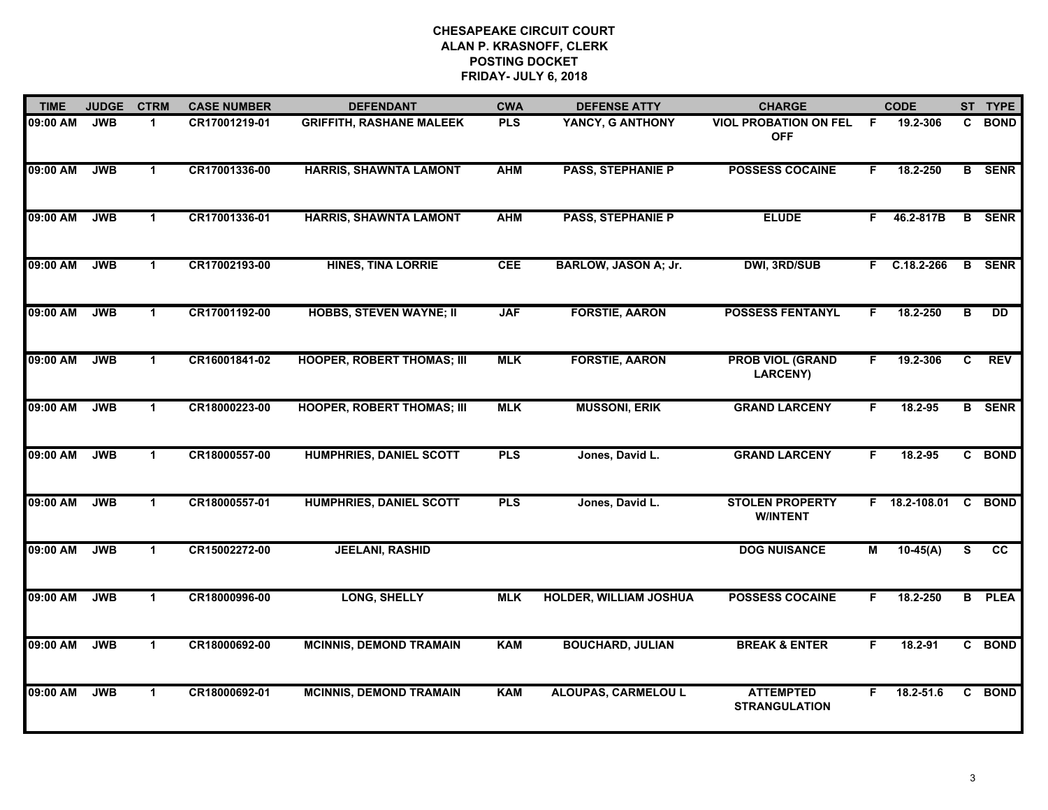| <b>TIME</b> | <b>JUDGE</b> | <b>CTRM</b>          | <b>CASE NUMBER</b> | <b>DEFENDANT</b>                  | <b>CWA</b> | <b>DEFENSE ATTY</b>           | <b>CHARGE</b>                              |                | <b>CODE</b>     |                | ST TYPE         |
|-------------|--------------|----------------------|--------------------|-----------------------------------|------------|-------------------------------|--------------------------------------------|----------------|-----------------|----------------|-----------------|
| 09:00 AM    | <b>JWB</b>   | $\blacktriangleleft$ | CR17001219-01      | <b>GRIFFITH, RASHANE MALEEK</b>   | <b>PLS</b> | YANCY, G ANTHONY              | <b>VIOL PROBATION ON FEL</b><br><b>OFF</b> | -F             | 19.2-306        | $\mathbf{c}$   | <b>BOND</b>     |
| 09:00 AM    | <b>JWB</b>   | $\blacktriangleleft$ | CR17001336-00      | <b>HARRIS, SHAWNTA LAMONT</b>     | <b>AHM</b> | <b>PASS, STEPHANIE P</b>      | <b>POSSESS COCAINE</b>                     | F.             | 18.2-250        |                | <b>B</b> SENR   |
| 09:00 AM    | <b>JWB</b>   | $\blacktriangleleft$ | CR17001336-01      | <b>HARRIS, SHAWNTA LAMONT</b>     | <b>AHM</b> | <b>PASS, STEPHANIE P</b>      | <b>ELUDE</b>                               | F              | 46.2-817B       |                | <b>B</b> SENR   |
| 09:00 AM    | <b>JWB</b>   | 1                    | CR17002193-00      | <b>HINES, TINA LORRIE</b>         | <b>CEE</b> | <b>BARLOW, JASON A; Jr.</b>   | <b>DWI, 3RD/SUB</b>                        |                | $F$ C.18.2-266  | $\mathbf{B}$   | <b>SENR</b>     |
| 09:00 AM    | <b>JWB</b>   | $\mathbf{1}$         | CR17001192-00      | <b>HOBBS, STEVEN WAYNE; II</b>    | <b>JAF</b> | <b>FORSTIE, AARON</b>         | <b>POSSESS FENTANYL</b>                    | F.             | 18.2-250        | в              | $\overline{DD}$ |
| 09:00 AM    | <b>JWB</b>   | $\blacktriangleleft$ | CR16001841-02      | <b>HOOPER, ROBERT THOMAS; III</b> | <b>MLK</b> | <b>FORSTIE, AARON</b>         | <b>PROB VIOL (GRAND</b><br>LARCENY)        | F.             | 19.2-306        | C              | <b>REV</b>      |
| 09:00 AM    | <b>JWB</b>   | $\blacktriangleleft$ | CR18000223-00      | <b>HOOPER, ROBERT THOMAS; III</b> | <b>MLK</b> | <b>MUSSONI, ERIK</b>          | <b>GRAND LARCENY</b>                       | F.             | 18.2-95         |                | <b>B</b> SENR   |
| 09:00 AM    | <b>JWB</b>   | $\mathbf{1}$         | CR18000557-00      | <b>HUMPHRIES, DANIEL SCOTT</b>    | <b>PLS</b> | Jones, David L.               | <b>GRAND LARCENY</b>                       | F              | 18.2-95         |                | C BOND          |
| 09:00 AM    | <b>JWB</b>   | $\mathbf{1}$         | CR18000557-01      | <b>HUMPHRIES, DANIEL SCOTT</b>    | <b>PLS</b> | Jones, David L.               | <b>STOLEN PROPERTY</b><br><b>W/INTENT</b>  |                | $F$ 18.2-108.01 | $\overline{c}$ | <b>BOND</b>     |
| 09:00 AM    | <b>JWB</b>   | $\blacktriangleleft$ | CR15002272-00      | <b>JEELANI, RASHID</b>            |            |                               | <b>DOG NUISANCE</b>                        | $\blacksquare$ | $10-45(A)$      | S              | cc              |
| 09:00 AM    | <b>JWB</b>   | $\blacktriangleleft$ | CR18000996-00      | <b>LONG, SHELLY</b>               | <b>MLK</b> | <b>HOLDER, WILLIAM JOSHUA</b> | <b>POSSESS COCAINE</b>                     | F.             | 18.2-250        |                | <b>B</b> PLEA   |
| 09:00 AM    | <b>JWB</b>   | $\mathbf 1$          | CR18000692-00      | <b>MCINNIS, DEMOND TRAMAIN</b>    | <b>KAM</b> | <b>BOUCHARD, JULIAN</b>       | <b>BREAK &amp; ENTER</b>                   | F              | 18.2-91         |                | C BOND          |
| 09:00 AM    | <b>JWB</b>   | $\mathbf 1$          | CR18000692-01      | <b>MCINNIS, DEMOND TRAMAIN</b>    | <b>KAM</b> | <b>ALOUPAS, CARMELOU L</b>    | <b>ATTEMPTED</b><br><b>STRANGULATION</b>   | F.             | $18.2 - 51.6$   |                | C BOND          |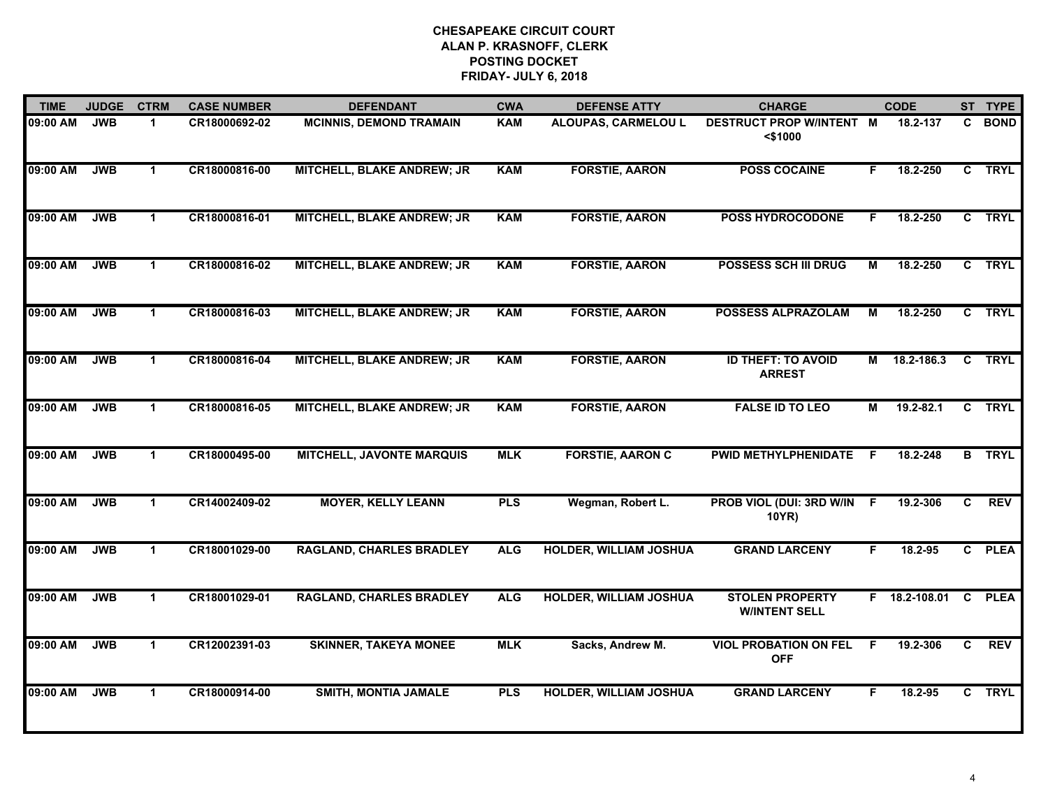| <b>TIME</b> | <b>JUDGE</b> | <b>CTRM</b>          | <b>CASE NUMBER</b> | <b>DEFENDANT</b>                  | <b>CWA</b> | <b>DEFENSE ATTY</b>           | <b>CHARGE</b>                                 |    | <b>CODE</b>     |                | ST TYPE       |
|-------------|--------------|----------------------|--------------------|-----------------------------------|------------|-------------------------------|-----------------------------------------------|----|-----------------|----------------|---------------|
| 09:00 AM    | <b>JWB</b>   | $\blacktriangleleft$ | CR18000692-02      | <b>MCINNIS, DEMOND TRAMAIN</b>    | <b>KAM</b> | ALOUPAS, CARMELOU L           | DESTRUCT PROP W/INTENT M<br>$<$ \$1000        |    | 18.2-137        | $\mathbf{c}$   | <b>BOND</b>   |
| 09:00 AM    | <b>JWB</b>   | $\blacktriangleleft$ | CR18000816-00      | <b>MITCHELL, BLAKE ANDREW; JR</b> | <b>KAM</b> | <b>FORSTIE, AARON</b>         | <b>POSS COCAINE</b>                           | F. | 18.2-250        |                | C TRYL        |
| 09:00 AM    | <b>JWB</b>   | $\blacktriangleleft$ | CR18000816-01      | <b>MITCHELL, BLAKE ANDREW; JR</b> | <b>KAM</b> | <b>FORSTIE, AARON</b>         | <b>POSS HYDROCODONE</b>                       | F. | 18.2-250        |                | C TRYL        |
| 09:00 AM    | <b>JWB</b>   | $\mathbf 1$          | CR18000816-02      | MITCHELL, BLAKE ANDREW; JR        | <b>KAM</b> | <b>FORSTIE, AARON</b>         | <b>POSSESS SCH III DRUG</b>                   | м  | 18.2-250        |                | C TRYL        |
| 09:00 AM    | <b>JWB</b>   | $\mathbf 1$          | CR18000816-03      | <b>MITCHELL, BLAKE ANDREW; JR</b> | KAM        | <b>FORSTIE, AARON</b>         | <b>POSSESS ALPRAZOLAM</b>                     | М  | 18.2-250        |                | C TRYL        |
| 09:00 AM    | <b>JWB</b>   | $\blacktriangleleft$ | CR18000816-04      | <b>MITCHELL, BLAKE ANDREW; JR</b> | KAM        | <b>FORSTIE, AARON</b>         | <b>ID THEFT: TO AVOID</b><br><b>ARREST</b>    |    | M 18.2-186.3    |                | <b>C TRYL</b> |
| 09:00 AM    | <b>JWB</b>   | $\mathbf 1$          | CR18000816-05      | <b>MITCHELL, BLAKE ANDREW; JR</b> | <b>KAM</b> | <b>FORSTIE, AARON</b>         | <b>FALSE ID TO LEO</b>                        | М  | $19.2 - 82.1$   |                | C TRYL        |
| 09:00 AM    | <b>JWB</b>   | $\mathbf 1$          | CR18000495-00      | <b>MITCHELL, JAVONTE MARQUIS</b>  | <b>MLK</b> | <b>FORSTIE, AARON C</b>       | PWID METHYLPHENIDATE                          | -F | 18.2-248        |                | <b>B</b> TRYL |
| 09:00 AM    | <b>JWB</b>   | $\blacktriangleleft$ | CR14002409-02      | <b>MOYER, KELLY LEANN</b>         | <b>PLS</b> | Wegman, Robert L.             | PROB VIOL (DUI: 3RD W/IN F<br>10YR)           |    | 19.2-306        | C              | <b>REV</b>    |
| 09:00 AM    | <b>JWB</b>   | $\blacktriangleleft$ | CR18001029-00      | <b>RAGLAND, CHARLES BRADLEY</b>   | <b>ALG</b> | <b>HOLDER, WILLIAM JOSHUA</b> | <b>GRAND LARCENY</b>                          | F  | 18.2-95         |                | C PLEA        |
| 09:00 AM    | <b>JWB</b>   | $\mathbf 1$          | CR18001029-01      | <b>RAGLAND, CHARLES BRADLEY</b>   | <b>ALG</b> | <b>HOLDER, WILLIAM JOSHUA</b> | <b>STOLEN PROPERTY</b><br><b>WINTENT SELL</b> |    | F 18.2-108.01 C |                | <b>PLEA</b>   |
| 09:00 AM    | <b>JWB</b>   | $\mathbf{1}$         | CR12002391-03      | <b>SKINNER, TAKEYA MONEE</b>      | <b>MLK</b> | Sacks, Andrew M.              | <b>VIOL PROBATION ON FEL</b><br><b>OFF</b>    | -F | 19.2-306        | $\overline{c}$ | <b>REV</b>    |
| 09:00 AM    | <b>JWB</b>   | $\mathbf 1$          | CR18000914-00      | <b>SMITH, MONTIA JAMALE</b>       | <b>PLS</b> | <b>HOLDER, WILLIAM JOSHUA</b> | <b>GRAND LARCENY</b>                          | F  | $18.2 - 95$     | $\mathbf{c}$   | <b>TRYL</b>   |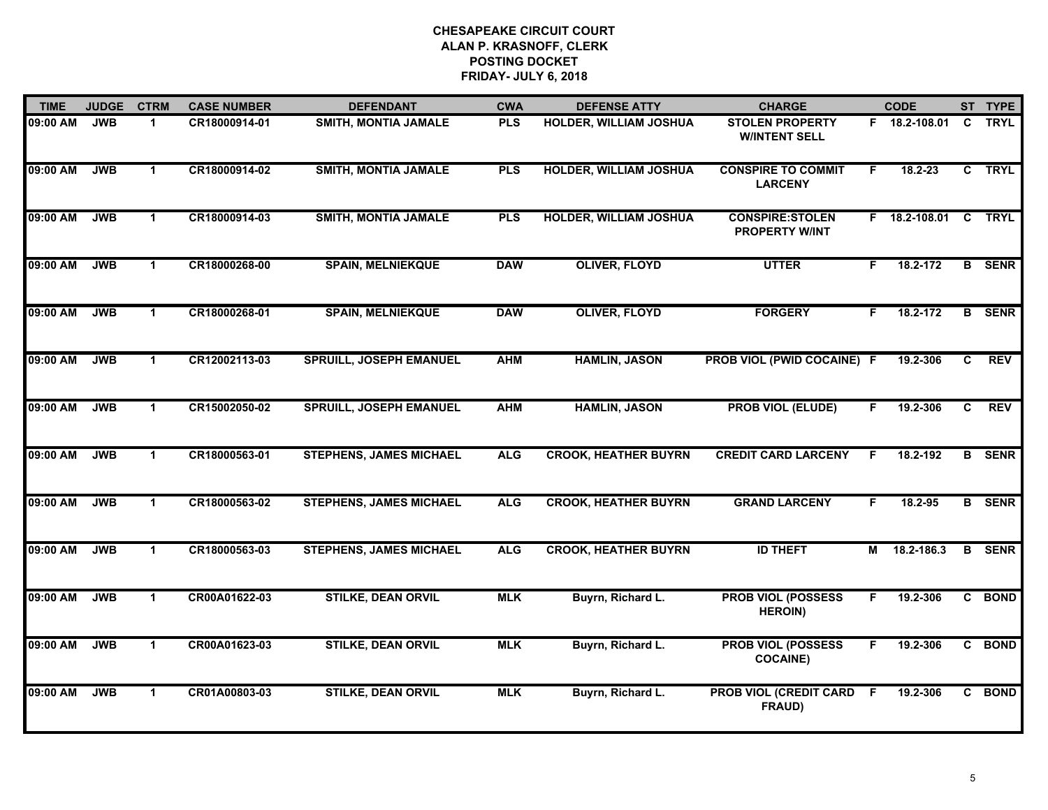| <b>TIME</b> | <b>JUDGE</b> | <b>CTRM</b>          | <b>CASE NUMBER</b> | <b>DEFENDANT</b>               | <b>CWA</b> | <b>DEFENSE ATTY</b>           | <b>CHARGE</b>                                   |    | <b>CODE</b>   |                | ST TYPE       |
|-------------|--------------|----------------------|--------------------|--------------------------------|------------|-------------------------------|-------------------------------------------------|----|---------------|----------------|---------------|
| 09:00 AM    | <b>JWB</b>   | $\mathbf{1}$         | CR18000914-01      | SMITH, MONTIA JAMALE           | <b>PLS</b> | HOLDER, WILLIAM JOSHUA        | <b>STOLEN PROPERTY</b><br><b>W/INTENT SELL</b>  |    | F 18.2-108.01 | C              | <b>TRYL</b>   |
| 09:00 AM    | <b>JWB</b>   | $\blacktriangleleft$ | CR18000914-02      | <b>SMITH, MONTIA JAMALE</b>    | <b>PLS</b> | <b>HOLDER, WILLIAM JOSHUA</b> | <b>CONSPIRE TO COMMIT</b><br><b>LARCENY</b>     | F. | $18.2 - 23$   |                | C TRYL        |
| 09:00 AM    | <b>JWB</b>   | $\mathbf{1}$         | CR18000914-03      | <b>SMITH, MONTIA JAMALE</b>    | <b>PLS</b> | <b>HOLDER, WILLIAM JOSHUA</b> | <b>CONSPIRE:STOLEN</b><br><b>PROPERTY W/INT</b> |    | F 18.2-108.01 | $\overline{c}$ | <b>TRYL</b>   |
| 09:00 AM    | <b>JWB</b>   | 1                    | CR18000268-00      | <b>SPAIN, MELNIEKQUE</b>       | <b>DAW</b> | <b>OLIVER, FLOYD</b>          | <b>UTTER</b>                                    | F. | 18.2-172      |                | <b>B</b> SENR |
| 09:00 AM    | <b>JWB</b>   | $\blacktriangleleft$ | CR18000268-01      | <b>SPAIN, MELNIEKQUE</b>       | <b>DAW</b> | <b>OLIVER, FLOYD</b>          | <b>FORGERY</b>                                  |    | 18.2-172      |                | <b>B</b> SENR |
| 09:00 AM    | <b>JWB</b>   | $\blacktriangleleft$ | CR12002113-03      | <b>SPRUILL, JOSEPH EMANUEL</b> | <b>AHM</b> | <b>HAMLIN, JASON</b>          | PROB VIOL (PWID COCAINE) F                      |    | 19.2-306      | C              | <b>REV</b>    |
| 09:00 AM    | <b>JWB</b>   | $\mathbf{1}$         | CR15002050-02      | <b>SPRUILL, JOSEPH EMANUEL</b> | <b>AHM</b> | <b>HAMLIN, JASON</b>          | <b>PROB VIOL (ELUDE)</b>                        | F. | 19.2-306      | C              | <b>REV</b>    |
| 09:00 AM    | <b>JWB</b>   | $\mathbf{1}$         | CR18000563-01      | <b>STEPHENS, JAMES MICHAEL</b> | <b>ALG</b> | <b>CROOK, HEATHER BUYRN</b>   | <b>CREDIT CARD LARCENY</b>                      |    | 18.2-192      |                | <b>B</b> SENR |
| 09:00 AM    | <b>JWB</b>   | $\blacktriangleleft$ | CR18000563-02      | <b>STEPHENS, JAMES MICHAEL</b> | <b>ALG</b> | <b>CROOK, HEATHER BUYRN</b>   | <b>GRAND LARCENY</b>                            | F  | 18.2-95       |                | <b>B</b> SENR |
| 09:00 AM    | <b>JWB</b>   | $\blacktriangleleft$ | CR18000563-03      | <b>STEPHENS, JAMES MICHAEL</b> | <b>ALG</b> | <b>CROOK, HEATHER BUYRN</b>   | <b>ID THEFT</b>                                 |    | M 18.2-186.3  |                | <b>B</b> SENR |
| 09:00 AM    | <b>JWB</b>   | $\mathbf 1$          | CR00A01622-03      | <b>STILKE, DEAN ORVIL</b>      | <b>MLK</b> | Buyrn, Richard L.             | <b>PROB VIOL (POSSESS</b><br><b>HEROIN)</b>     |    | 19.2-306      |                | C BOND        |
| 09:00 AM    | <b>JWB</b>   | $\blacktriangleleft$ | CR00A01623-03      | <b>STILKE, DEAN ORVIL</b>      | <b>MLK</b> | Buyrn, Richard L.             | <b>PROB VIOL (POSSESS</b><br><b>COCAINE)</b>    | F  | 19.2-306      |                | C BOND        |
| 09:00 AM    | <b>JWB</b>   | $\blacktriangleleft$ | CR01A00803-03      | <b>STILKE, DEAN ORVIL</b>      | <b>MLK</b> | Buyrn, Richard L.             | <b>PROB VIOL (CREDIT CARD</b><br>FRAUD)         | F. | 19.2-306      |                | C BOND        |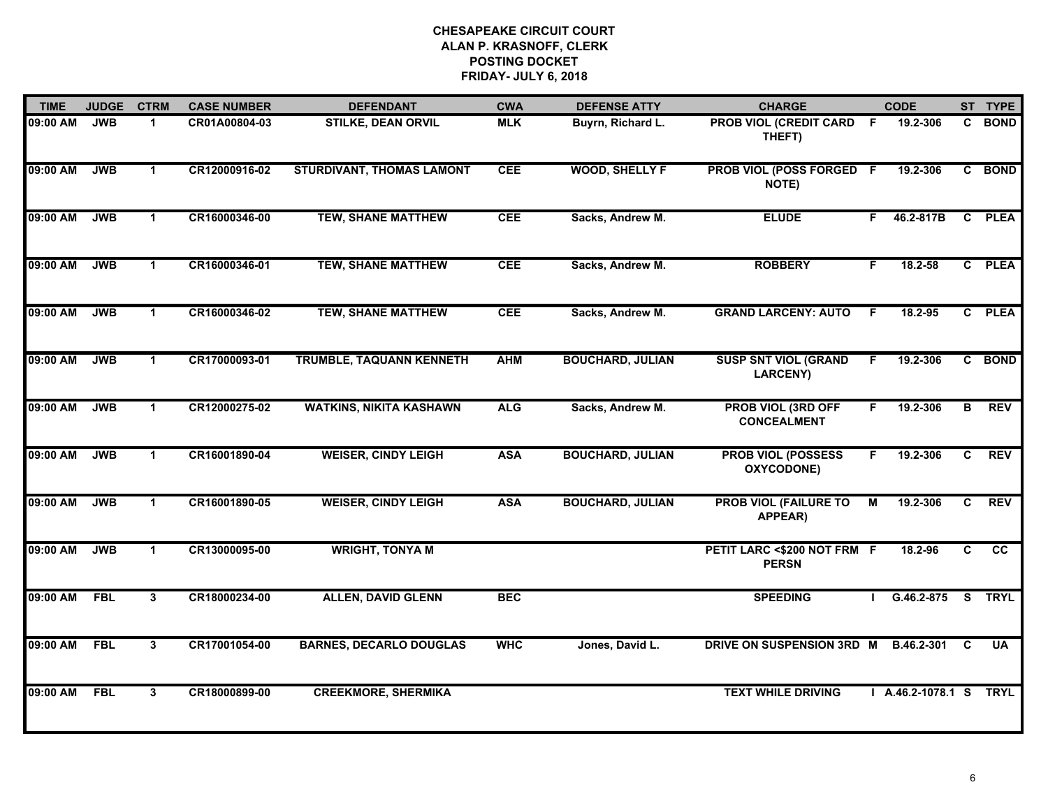| <b>TIME</b> | <b>JUDGE</b> | <b>CTRM</b>          | <b>CASE NUMBER</b> | <b>DEFENDANT</b>                 | <b>CWA</b> | <b>DEFENSE ATTY</b>     | <b>CHARGE</b>                                   |    | <b>CODE</b>            |                         | ST TYPE         |
|-------------|--------------|----------------------|--------------------|----------------------------------|------------|-------------------------|-------------------------------------------------|----|------------------------|-------------------------|-----------------|
| 09:00 AM    | <b>JWB</b>   | $\blacktriangleleft$ | CR01A00804-03      | <b>STILKE, DEAN ORVIL</b>        | <b>MLK</b> | Buyrn, Richard L.       | PROB VIOL (CREDIT CARD F<br>THEFT)              |    | 19.2-306               | C.                      | <b>BOND</b>     |
| 09:00 AM    | <b>JWB</b>   | $\blacktriangleleft$ | CR12000916-02      | <b>STURDIVANT, THOMAS LAMONT</b> | <b>CEE</b> | <b>WOOD, SHELLY F</b>   | PROB VIOL (POSS FORGED F<br>NOTE)               |    | 19.2-306               |                         | C BOND          |
| 09:00 AM    | <b>JWB</b>   | $\mathbf{1}$         | CR16000346-00      | <b>TEW, SHANE MATTHEW</b>        | <b>CEE</b> | Sacks, Andrew M.        | <b>ELUDE</b>                                    | F. | 46.2-817B              | $\overline{c}$          | <b>PLEA</b>     |
| 09:00 AM    | <b>JWB</b>   | $\mathbf 1$          | CR16000346-01      | <b>TEW, SHANE MATTHEW</b>        | <b>CEE</b> | Sacks, Andrew M.        | <b>ROBBERY</b>                                  | F. | $18.2 - 58$            | $\mathbf{c}$            | <b>PLEA</b>     |
| 09:00 AM    | <b>JWB</b>   | $\blacktriangleleft$ | CR16000346-02      | <b>TEW, SHANE MATTHEW</b>        | <b>CEE</b> | Sacks, Andrew M.        | <b>GRAND LARCENY: AUTO</b>                      | F. | 18.2-95                |                         | C PLEA          |
| 09:00 AM    | <b>JWB</b>   | $\mathbf{1}$         | CR17000093-01      | TRUMBLE, TAQUANN KENNETH         | <b>AHM</b> | <b>BOUCHARD, JULIAN</b> | <b>SUSP SNT VIOL (GRAND</b><br><b>LARCENY)</b>  | F. | 19.2-306               |                         | C BOND          |
| 09:00 AM    | <b>JWB</b>   | $\blacktriangleleft$ | CR12000275-02      | <b>WATKINS, NIKITA KASHAWN</b>   | <b>ALG</b> | Sacks, Andrew M.        | <b>PROB VIOL (3RD OFF</b><br><b>CONCEALMENT</b> | F. | 19.2-306               | в                       | <b>REV</b>      |
| 09:00 AM    | <b>JWB</b>   | $\blacktriangleleft$ | CR16001890-04      | <b>WEISER, CINDY LEIGH</b>       | <b>ASA</b> | <b>BOUCHARD, JULIAN</b> | <b>PROB VIOL (POSSESS</b><br>OXYCODONE)         | F. | 19.2-306               | C                       | <b>REV</b>      |
| 09:00 AM    | <b>JWB</b>   | $\mathbf 1$          | CR16001890-05      | <b>WEISER, CINDY LEIGH</b>       | <b>ASA</b> | <b>BOUCHARD, JULIAN</b> | <b>PROB VIOL (FAILURE TO</b><br>APPEAR)         | M  | 19.2-306               | C                       | <b>REV</b>      |
| 09:00 AM    | <b>JWB</b>   | $\mathbf 1$          | CR13000095-00      | <b>WRIGHT, TONYA M</b>           |            |                         | PETIT LARC <\$200 NOT FRM F<br><b>PERSN</b>     |    | 18.2-96                | C                       | $\overline{cc}$ |
| 09:00 AM    | <b>FBL</b>   | $\overline{3}$       | CR18000234-00      | <b>ALLEN, DAVID GLENN</b>        | <b>BEC</b> |                         | <b>SPEEDING</b>                                 |    | G.46.2-875             | $\overline{\mathbf{s}}$ | <b>TRYL</b>     |
| 09:00 AM    | <b>FBL</b>   | $\mathbf{3}$         | CR17001054-00      | <b>BARNES, DECARLO DOUGLAS</b>   | <b>WHC</b> | Jones, David L.         | DRIVE ON SUSPENSION 3RD M                       |    | B.46.2-301             | C                       | <b>UA</b>       |
| 09:00 AM    | <b>FBL</b>   | 3                    | CR18000899-00      | <b>CREEKMORE, SHERMIKA</b>       |            |                         | <b>TEXT WHILE DRIVING</b>                       |    | I A.46.2-1078.1 S TRYL |                         |                 |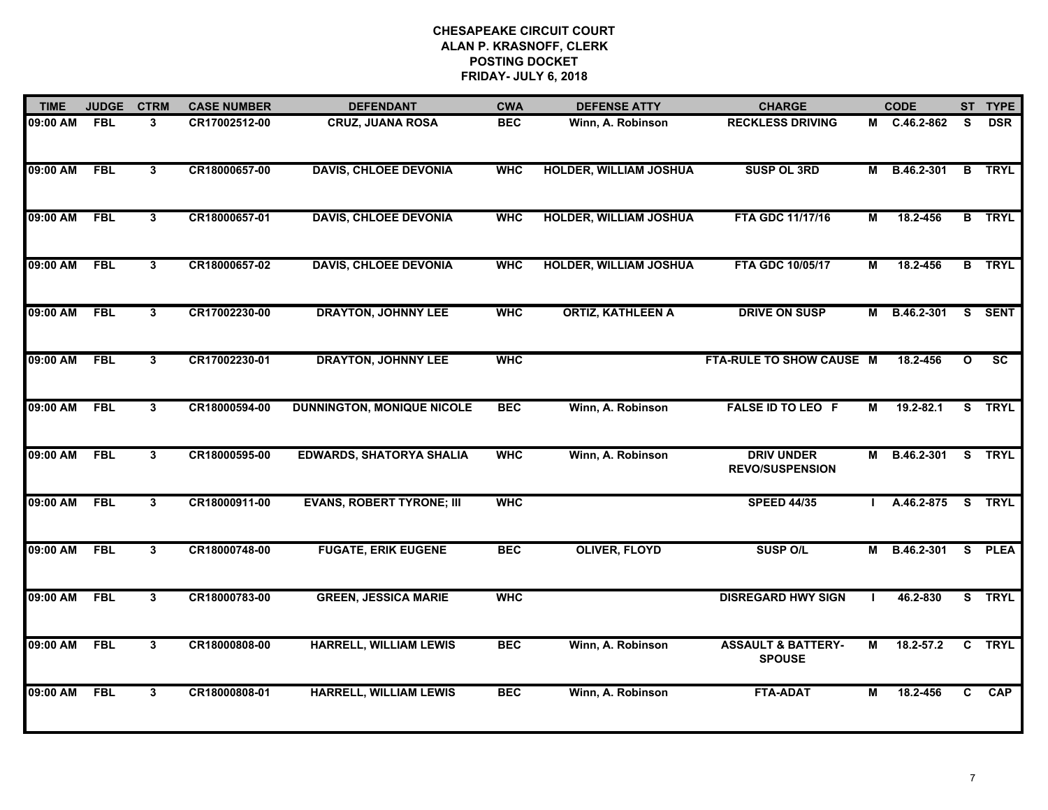| <b>TIME</b> | <b>JUDGE</b> | <b>CTRM</b>             | <b>CASE NUMBER</b> | <b>DEFENDANT</b>                  | <b>CWA</b> | <b>DEFENSE ATTY</b>           | <b>CHARGE</b>                                  |                | <b>CODE</b>       |                | ST TYPE                  |
|-------------|--------------|-------------------------|--------------------|-----------------------------------|------------|-------------------------------|------------------------------------------------|----------------|-------------------|----------------|--------------------------|
| 09:00 AM    | <b>FBL</b>   | 3                       | CR17002512-00      | <b>CRUZ, JUANA ROSA</b>           | <b>BEC</b> | Winn, A. Robinson             | <b>RECKLESS DRIVING</b>                        |                | M C.46.2-862      | <b>S</b>       | <b>DSR</b>               |
| 09:00 AM    | <b>FBL</b>   | $\overline{\mathbf{3}}$ | CR18000657-00      | <b>DAVIS, CHLOEE DEVONIA</b>      | <b>WHC</b> | <b>HOLDER, WILLIAM JOSHUA</b> | <b>SUSP OL 3RD</b>                             | М              | B.46.2-301        | $\overline{B}$ | <b>TRYL</b>              |
| 09:00 AM    | <b>FBL</b>   | $\overline{3}$          | CR18000657-01      | <b>DAVIS, CHLOEE DEVONIA</b>      | <b>WHC</b> | <b>HOLDER, WILLIAM JOSHUA</b> | FTA GDC 11/17/16                               | $\overline{M}$ | 18.2-456          |                | <b>B</b> TRYL            |
| 09:00 AM    | <b>FBL</b>   | $\mathbf{3}$            | CR18000657-02      | <b>DAVIS, CHLOEE DEVONIA</b>      | <b>WHC</b> | <b>HOLDER, WILLIAM JOSHUA</b> | FTA GDC 10/05/17                               | M              | 18.2-456          |                | <b>B</b> TRYL            |
| 09:00 AM    | <b>FBL</b>   | $\mathbf{3}$            | CR17002230-00      | <b>DRAYTON, JOHNNY LEE</b>        | <b>WHC</b> | <b>ORTIZ, KATHLEEN A</b>      | <b>DRIVE ON SUSP</b>                           | М              | B.46.2-301        |                | S SENT                   |
| 09:00 AM    | <b>FBL</b>   | $\mathbf{3}$            | CR17002230-01      | <b>DRAYTON, JOHNNY LEE</b>        | <b>WHC</b> |                               | FTA-RULE TO SHOW CAUSE M                       |                | 18.2-456          | $\mathbf{o}$   | $\overline{\mathsf{sc}}$ |
| 09:00 AM    | <b>FBL</b>   | $\mathbf{3}$            | CR18000594-00      | <b>DUNNINGTON, MONIQUE NICOLE</b> | <b>BEC</b> | Winn, A. Robinson             | <b>FALSE ID TO LEO F</b>                       | М              | $19.2 - 82.1$     |                | S TRYL                   |
| 09:00 AM    | <b>FBL</b>   | $\mathbf{3}$            | CR18000595-00      | <b>EDWARDS, SHATORYA SHALIA</b>   | <b>WHC</b> | Winn, A. Robinson             | <b>DRIV UNDER</b><br><b>REVO/SUSPENSION</b>    | М              | B.46.2-301 S TRYL |                |                          |
| 09:00 AM    | <b>FBL</b>   | 3                       | CR18000911-00      | <b>EVANS, ROBERT TYRONE; III</b>  | <b>WHC</b> |                               | <b>SPEED 44/35</b>                             |                | A.46.2-875        |                | S TRYL                   |
| 09:00 AM    | <b>FBL</b>   | $\mathbf{3}$            | CR18000748-00      | <b>FUGATE, ERIK EUGENE</b>        | <b>BEC</b> | <b>OLIVER, FLOYD</b>          | <b>SUSP O/L</b>                                | М              | B.46.2-301        | S.             | <b>PLEA</b>              |
| 09:00 AM    | <b>FBL</b>   | $\overline{\mathbf{3}}$ | CR18000783-00      | <b>GREEN, JESSICA MARIE</b>       | <b>WHC</b> |                               | <b>DISREGARD HWY SIGN</b>                      |                | 46.2-830          |                | S TRYL                   |
| 09:00 AM    | <b>FBL</b>   | $\overline{\mathbf{3}}$ | CR18000808-00      | <b>HARRELL, WILLIAM LEWIS</b>     | <b>BEC</b> | Winn, A. Robinson             | <b>ASSAULT &amp; BATTERY-</b><br><b>SPOUSE</b> | $\overline{M}$ | $18.2 - 57.2$     |                | C TRYL                   |
| 09:00 AM    | <b>FBL</b>   | 3                       | CR18000808-01      | <b>HARRELL, WILLIAM LEWIS</b>     | <b>BEC</b> | Winn, A. Robinson             | <b>FTA-ADAT</b>                                | М              | 18.2-456          | C.             | <b>CAP</b>               |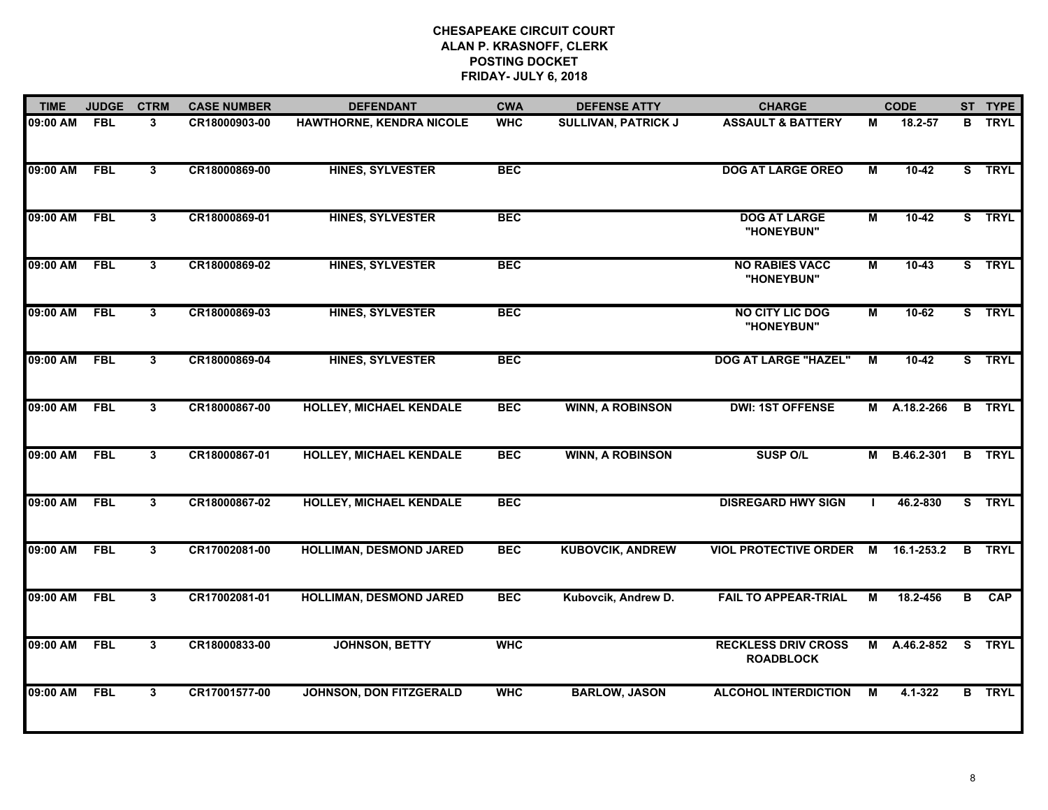| <b>TIME</b> | <b>JUDGE</b> | <b>CTRM</b>             | <b>CASE NUMBER</b> | <b>DEFENDANT</b>               | <b>CWA</b> | <b>DEFENSE ATTY</b>        | <b>CHARGE</b>                                  |                         | <b>CODE</b>  |   | ST TYPE       |
|-------------|--------------|-------------------------|--------------------|--------------------------------|------------|----------------------------|------------------------------------------------|-------------------------|--------------|---|---------------|
| 09:00 AM    | <b>FBL</b>   | 3                       | CR18000903-00      | HAWTHORNE, KENDRA NICOLE       | <b>WHC</b> | <b>SULLIVAN, PATRICK J</b> | <b>ASSAULT &amp; BATTERY</b>                   | М                       | 18.2-57      |   | <b>B</b> TRYL |
| 09:00 AM    | <b>FBL</b>   | $3\phantom{.0}$         | CR18000869-00      | <b>HINES, SYLVESTER</b>        | <b>BEC</b> |                            | <b>DOG AT LARGE OREO</b>                       | $\blacksquare$          | $10-42$      |   | S TRYL        |
| 09:00 AM    | <b>FBL</b>   | $\overline{\mathbf{3}}$ | CR18000869-01      | <b>HINES, SYLVESTER</b>        | <b>BEC</b> |                            | <b>DOG AT LARGE</b><br>"HONEYBUN"              | $\blacksquare$          | $10-42$      |   | S TRYL        |
| 09:00 AM    | <b>FBL</b>   | $\mathbf{3}$            | CR18000869-02      | <b>HINES, SYLVESTER</b>        | <b>BEC</b> |                            | <b>NO RABIES VACC</b><br>"HONEYBUN"            | M                       | $10-43$      |   | S TRYL        |
| 09:00 AM    | <b>FBL</b>   | 3                       | CR18000869-03      | <b>HINES, SYLVESTER</b>        | <b>BEC</b> |                            | <b>NO CITY LIC DOG</b><br>"HONEYBUN"           | М                       | $10-62$      |   | S TRYL        |
| 09:00 AM    | <b>FBL</b>   | $\mathbf{3}$            | CR18000869-04      | <b>HINES, SYLVESTER</b>        | <b>BEC</b> |                            | <b>DOG AT LARGE "HAZEL"</b>                    | $\overline{\mathsf{M}}$ | $10-42$      |   | S TRYL        |
| 09:00 AM    | <b>FBL</b>   | $\mathbf{3}$            | CR18000867-00      | <b>HOLLEY, MICHAEL KENDALE</b> | <b>BEC</b> | <b>WINN, A ROBINSON</b>    | <b>DWI: 1ST OFFENSE</b>                        |                         | M A.18.2-266 |   | <b>B</b> TRYL |
| 09:00 AM    | <b>FBL</b>   | $\mathbf{3}$            | CR18000867-01      | <b>HOLLEY, MICHAEL KENDALE</b> | <b>BEC</b> | <b>WINN, A ROBINSON</b>    | <b>SUSP O/L</b>                                |                         | M B.46.2-301 |   | <b>B</b> TRYL |
| 09:00 AM    | <b>FBL</b>   | 3                       | CR18000867-02      | <b>HOLLEY, MICHAEL KENDALE</b> | <b>BEC</b> |                            | <b>DISREGARD HWY SIGN</b>                      |                         | 46.2-830     |   | S TRYL        |
| 09:00 AM    | <b>FBL</b>   | $\mathbf{3}$            | CR17002081-00      | <b>HOLLIMAN, DESMOND JARED</b> | <b>BEC</b> | <b>KUBOVCIK, ANDREW</b>    | VIOL PROTECTIVE ORDER M 16.1-253.2             |                         |              |   | <b>B</b> TRYL |
| 09:00 AM    | <b>FBL</b>   | $\mathbf{3}$            | CR17002081-01      | <b>HOLLIMAN, DESMOND JARED</b> | <b>BEC</b> | Kubovcik, Andrew D.        | <b>FAIL TO APPEAR-TRIAL</b>                    | М                       | 18.2-456     | B | CAP           |
| 09:00 AM    | <b>FBL</b>   | $\overline{\mathbf{3}}$ | CR18000833-00      | <b>JOHNSON, BETTY</b>          | <b>WHC</b> |                            | <b>RECKLESS DRIV CROSS</b><br><b>ROADBLOCK</b> |                         | M A.46.2-852 |   | S TRYL        |
| 09:00 AM    | <b>FBL</b>   | 3                       | CR17001577-00      | <b>JOHNSON, DON FITZGERALD</b> | <b>WHC</b> | <b>BARLOW, JASON</b>       | <b>ALCOHOL INTERDICTION</b>                    | M                       | 4.1-322      |   | <b>B</b> TRYL |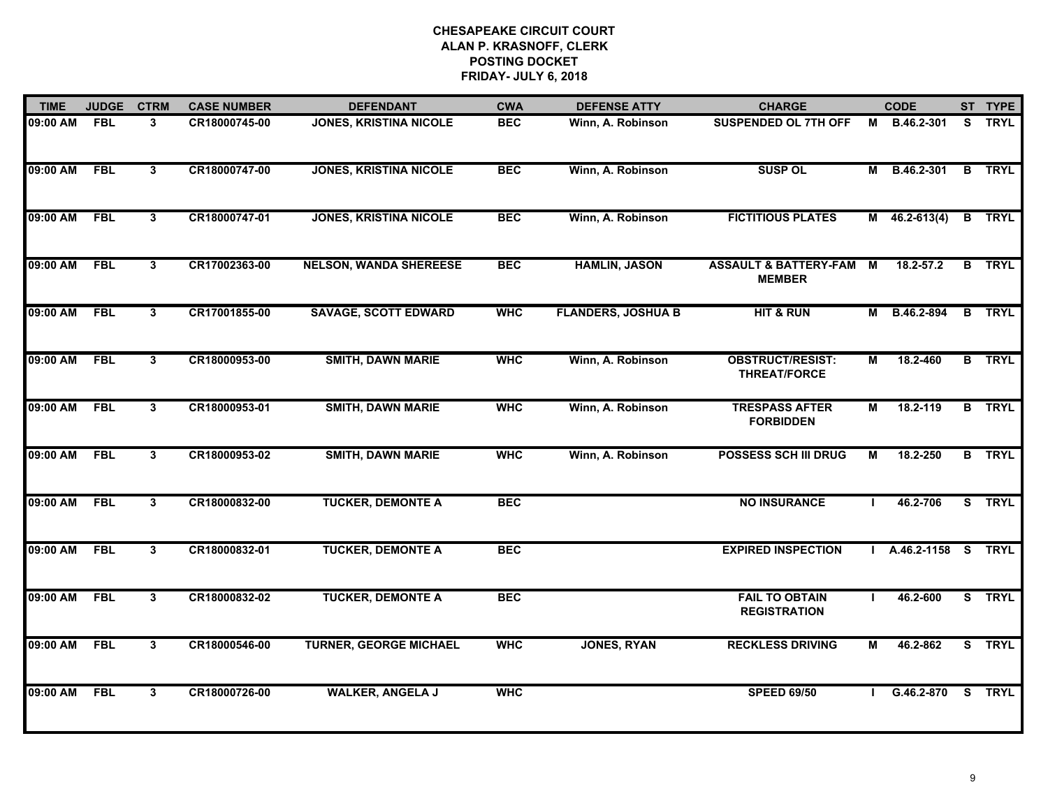| <b>TIME</b> | <b>JUDGE</b> | <b>CTRM</b>             | <b>CASE NUMBER</b> | <b>DEFENDANT</b>              | <b>CWA</b> | <b>DEFENSE ATTY</b>       | <b>CHARGE</b>                                     |                | <b>CODE</b>        |    | ST TYPE       |
|-------------|--------------|-------------------------|--------------------|-------------------------------|------------|---------------------------|---------------------------------------------------|----------------|--------------------|----|---------------|
| 09:00 AM    | <b>FBL</b>   | $\mathbf{3}$            | CR18000745-00      | <b>JONES, KRISTINA NICOLE</b> | <b>BEC</b> | Winn, A. Robinson         | <b>SUSPENDED OL 7TH OFF</b>                       | М              | B.46.2-301         | S. | <b>TRYL</b>   |
| 09:00 AM    | <b>FBL</b>   | $\mathbf{3}$            | CR18000747-00      | <b>JONES, KRISTINA NICOLE</b> | <b>BEC</b> | Winn, A. Robinson         | <b>SUSP OL</b>                                    | М              | B.46.2-301         | B  | <b>TRYL</b>   |
| 09:00 AM    | <b>FBL</b>   | $\overline{\mathbf{3}}$ | CR18000747-01      | <b>JONES, KRISTINA NICOLE</b> | <b>BEC</b> | Winn, A. Robinson         | <b>FICTITIOUS PLATES</b>                          |                | $M$ 46.2-613(4)    |    | <b>B</b> TRYL |
| 09:00 AM    | <b>FBL</b>   | $\mathbf{3}$            | CR17002363-00      | <b>NELSON, WANDA SHEREESE</b> | <b>BEC</b> | <b>HAMLIN, JASON</b>      | <b>ASSAULT &amp; BATTERY-FAM</b><br><b>MEMBER</b> | M              | 18.2-57.2          | B  | <b>TRYL</b>   |
| 09:00 AM    | <b>FBL</b>   | $\mathbf{3}$            | CR17001855-00      | <b>SAVAGE, SCOTT EDWARD</b>   | <b>WHC</b> | <b>FLANDERS, JOSHUA B</b> | <b>HIT &amp; RUN</b>                              | М              | B.46.2-894         |    | <b>B</b> TRYL |
| 09:00 AM    | <b>FBL</b>   | $\mathbf{3}$            | CR18000953-00      | <b>SMITH, DAWN MARIE</b>      | <b>WHC</b> | Winn, A. Robinson         | <b>OBSTRUCT/RESIST:</b><br><b>THREAT/FORCE</b>    | М              | 18.2-460           |    | <b>B</b> TRYL |
| 09:00 AM    | <b>FBL</b>   | $\mathbf{3}$            | CR18000953-01      | <b>SMITH, DAWN MARIE</b>      | <b>WHC</b> | Winn, A. Robinson         | <b>TRESPASS AFTER</b><br><b>FORBIDDEN</b>         | $\blacksquare$ | 18.2-119           |    | <b>B</b> TRYL |
| 09:00 AM    | <b>FBL</b>   | 3                       | CR18000953-02      | <b>SMITH, DAWN MARIE</b>      | <b>WHC</b> | Winn, A. Robinson         | <b>POSSESS SCH III DRUG</b>                       | M              | 18.2-250           |    | <b>B</b> TRYL |
| 09:00 AM    | <b>FBL</b>   | 3                       | CR18000832-00      | <b>TUCKER, DEMONTE A</b>      | <b>BEC</b> |                           | <b>NO INSURANCE</b>                               |                | 46.2-706           |    | S TRYL        |
| 09:00 AM    | <b>FBL</b>   | $\mathbf{3}$            | CR18000832-01      | <b>TUCKER, DEMONTE A</b>      | <b>BEC</b> |                           | <b>EXPIRED INSPECTION</b>                         |                | A.46.2-1158 S TRYL |    |               |
| 09:00 AM    | <b>FBL</b>   | $\mathbf{3}$            | CR18000832-02      | <b>TUCKER, DEMONTE A</b>      | <b>BEC</b> |                           | <b>FAIL TO OBTAIN</b><br><b>REGISTRATION</b>      |                | 46.2-600           |    | S TRYL        |
| 09:00 AM    | <b>FBL</b>   | $\overline{\mathbf{3}}$ | CR18000546-00      | <b>TURNER, GEORGE MICHAEL</b> | <b>WHC</b> | <b>JONES, RYAN</b>        | <b>RECKLESS DRIVING</b>                           | М              | 46.2-862           |    | S TRYL        |
| 09:00 AM    | <b>FBL</b>   | 3                       | CR18000726-00      | <b>WALKER, ANGELA J</b>       | <b>WHC</b> |                           | <b>SPEED 69/50</b>                                |                | G.46.2-870         | S. | <b>TRYL</b>   |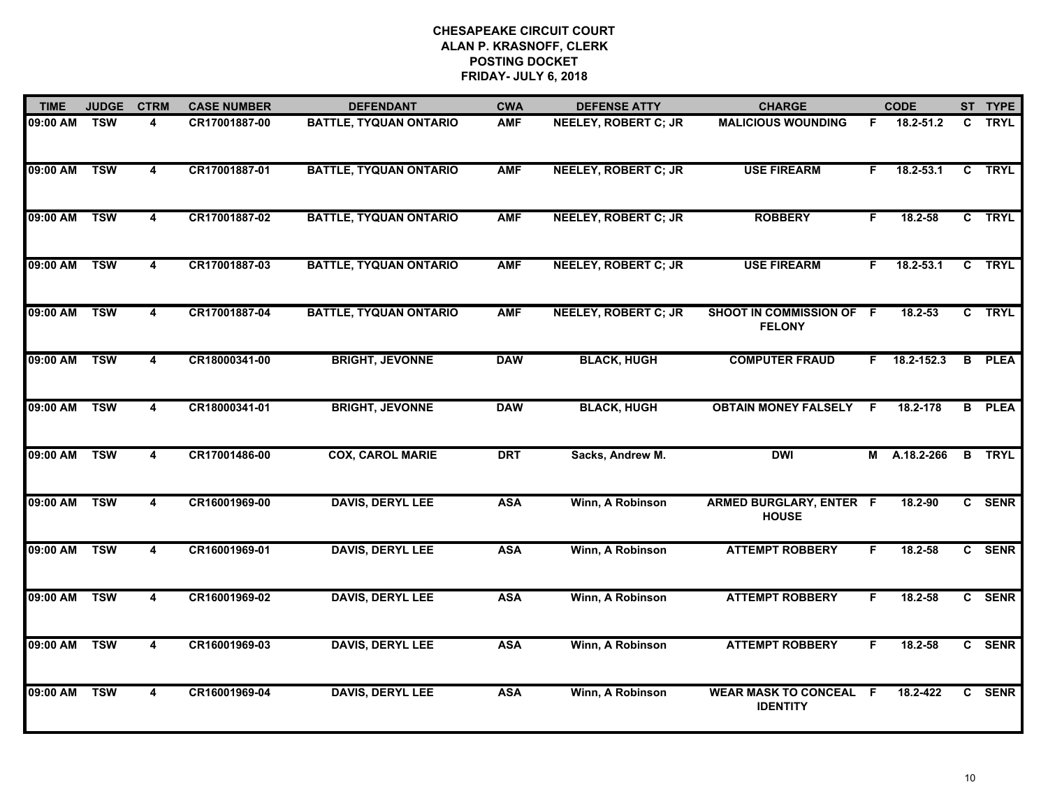| <b>TIME</b> | <b>JUDGE</b> | <b>CTRM</b>             | <b>CASE NUMBER</b> | <b>DEFENDANT</b>              | <b>CWA</b> | <b>DEFENSE ATTY</b>         | <b>CHARGE</b>                                    |    | <b>CODE</b>    |                | ST TYPE       |
|-------------|--------------|-------------------------|--------------------|-------------------------------|------------|-----------------------------|--------------------------------------------------|----|----------------|----------------|---------------|
| 09:00 AM    | <b>TSW</b>   | $\overline{4}$          | CR17001887-00      | <b>BATTLE, TYQUAN ONTARIO</b> | <b>AMF</b> | <b>NEELEY, ROBERT C; JR</b> | <b>MALICIOUS WOUNDING</b>                        | F. | 18.2-51.2      | C              | <b>TRYL</b>   |
| 09:00 AM    | <b>TSW</b>   | $\overline{\mathbf{4}}$ | CR17001887-01      | <b>BATTLE, TYQUAN ONTARIO</b> | <b>AMF</b> | <b>NEELEY, ROBERT C; JR</b> | <b>USE FIREARM</b>                               | F. | $18.2 - 53.1$  | $\overline{c}$ | <b>TRYL</b>   |
| 09:00 AM    | <b>TSW</b>   | $\overline{\mathbf{4}}$ | CR17001887-02      | <b>BATTLE, TYQUAN ONTARIO</b> | <b>AMF</b> | <b>NEELEY, ROBERT C; JR</b> | <b>ROBBERY</b>                                   | F. | 18.2-58        |                | C TRYL        |
| 09:00 AM    | <b>TSW</b>   | 4                       | CR17001887-03      | <b>BATTLE, TYQUAN ONTARIO</b> | <b>AMF</b> | <b>NEELEY, ROBERT C; JR</b> | <b>USE FIREARM</b>                               | F. | $18.2 - 53.1$  | $\mathbf{c}$   | <b>TRYL</b>   |
| 09:00 AM    | <b>TSW</b>   | 4                       | CR17001887-04      | <b>BATTLE, TYQUAN ONTARIO</b> | <b>AMF</b> | <b>NEELEY, ROBERT C; JR</b> | SHOOT IN COMMISSION OF F<br><b>FELONY</b>        |    | 18.2-53        |                | C TRYL        |
| 09:00 AM    | <b>TSW</b>   | 4                       | CR18000341-00      | <b>BRIGHT, JEVONNE</b>        | <b>DAW</b> | <b>BLACK, HUGH</b>          | <b>COMPUTER FRAUD</b>                            |    | $F$ 18.2-152.3 |                | <b>B</b> PLEA |
| 09:00 AM    | <b>TSW</b>   | $\overline{\mathbf{4}}$ | CR18000341-01      | <b>BRIGHT, JEVONNE</b>        | <b>DAW</b> | <b>BLACK, HUGH</b>          | <b>OBTAIN MONEY FALSELY F</b>                    |    | 18.2-178       |                | <b>B</b> PLEA |
| 09:00 AM    | <b>TSW</b>   | 4                       | CR17001486-00      | <b>COX, CAROL MARIE</b>       | <b>DRT</b> | Sacks, Andrew M.            | <b>DWI</b>                                       |    | M A.18.2-266   |                | <b>B</b> TRYL |
| 09:00 AM    | <b>TSW</b>   | 4                       | CR16001969-00      | <b>DAVIS, DERYL LEE</b>       | <b>ASA</b> | Winn, A Robinson            | <b>ARMED BURGLARY, ENTER F</b><br><b>HOUSE</b>   |    | 18.2-90        |                | C SENR        |
| 09:00 AM    | <b>TSW</b>   | 4                       | CR16001969-01      | <b>DAVIS, DERYL LEE</b>       | <b>ASA</b> | Winn, A Robinson            | <b>ATTEMPT ROBBERY</b>                           | F  | $18.2 - 58$    |                | C SENR        |
| 09:00 AM    | <b>TSW</b>   | $\overline{\mathbf{4}}$ | CR16001969-02      | <b>DAVIS, DERYL LEE</b>       | <b>ASA</b> | Winn, A Robinson            | <b>ATTEMPT ROBBERY</b>                           | F  | 18.2-58        |                | C SENR        |
| 09:00 AM    | <b>TSW</b>   | $\overline{4}$          | CR16001969-03      | <b>DAVIS, DERYL LEE</b>       | <b>ASA</b> | Winn, A Robinson            | <b>ATTEMPT ROBBERY</b>                           | F  | 18.2-58        |                | C SENR        |
| 09:00 AM    | <b>TSW</b>   | 4                       | CR16001969-04      | <b>DAVIS, DERYL LEE</b>       | <b>ASA</b> | Winn, A Robinson            | <b>WEAR MASK TO CONCEAL F</b><br><b>IDENTITY</b> |    | $18.2 - 422$   |                | C SENR        |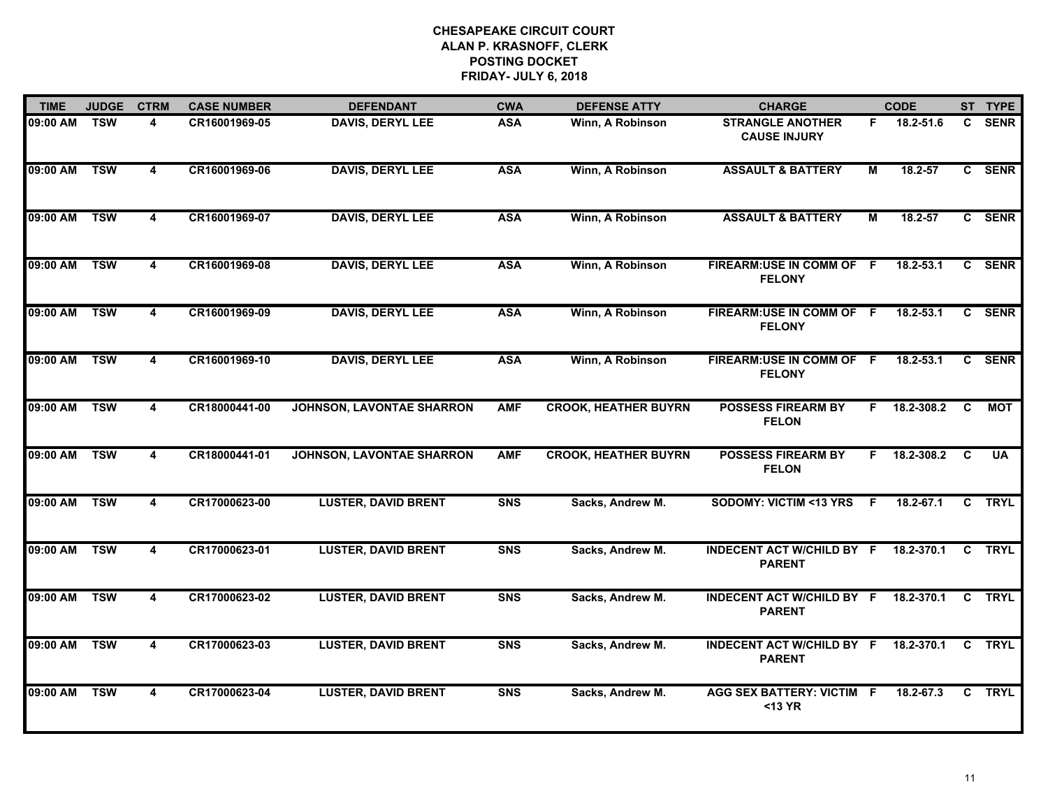| <b>TIME</b>  | <b>JUDGE</b>            | <b>CTRM</b>             | <b>CASE NUMBER</b> | <b>DEFENDANT</b>                 | <b>CWA</b>     | <b>DEFENSE ATTY</b>         | <b>CHARGE</b>                                           |                | <b>CODE</b>    |              | ST TYPE     |
|--------------|-------------------------|-------------------------|--------------------|----------------------------------|----------------|-----------------------------|---------------------------------------------------------|----------------|----------------|--------------|-------------|
| 09:00 AM     | <b>TSW</b>              | 4                       | CR16001969-05      | <b>DAVIS, DERYL LEE</b>          | <b>ASA</b>     | Winn, A Robinson            | <b>STRANGLE ANOTHER</b><br><b>CAUSE INJURY</b>          | F.             | 18.2-51.6      | $\mathbf{c}$ | <b>SENR</b> |
| 09:00 AM     | <b>TSW</b>              | $\overline{\mathbf{4}}$ | CR16001969-06      | <b>DAVIS, DERYL LEE</b>          | <b>ASA</b>     | Winn, A Robinson            | <b>ASSAULT &amp; BATTERY</b>                            | М              | $18.2 - 57$    |              | C SENR      |
| 09:00 AM     | <b>TSW</b>              | $\overline{4}$          | CR16001969-07      | <b>DAVIS, DERYL LEE</b>          | <b>ASA</b>     | Winn, A Robinson            | <b>ASSAULT &amp; BATTERY</b>                            | $\overline{M}$ | 18.2-57        |              | C SENR      |
| 09:00 AM     | <b>TSW</b>              | 4                       | CR16001969-08      | <b>DAVIS, DERYL LEE</b>          | <b>ASA</b>     | Winn, A Robinson            | FIREARM: USE IN COMM OF F<br><b>FELONY</b>              |                | 18.2-53.1      | $\mathbf{c}$ | <b>SENR</b> |
| 09:00 AM     | TSW                     | 4                       | CR16001969-09      | <b>DAVIS, DERYL LEE</b>          | <b>ASA</b>     | Winn, A Robinson            | FIREARM:USE IN COMM OF F<br><b>FELONY</b>               |                | $18.2 - 53.1$  |              | C SENR      |
| 09:00 AM TSW |                         | 4                       | CR16001969-10      | <b>DAVIS, DERYL LEE</b>          | <b>ASA</b>     | Winn, A Robinson            | FIREARM:USE IN COMM OF F<br><b>FELONY</b>               |                | 18.2-53.1      |              | C SENR      |
| 09:00 AM     | <b>TSW</b>              | $\overline{\mathbf{4}}$ | CR18000441-00      | <b>JOHNSON, LAVONTAE SHARRON</b> | <b>AMF</b>     | <b>CROOK, HEATHER BUYRN</b> | <b>POSSESS FIREARM BY</b><br><b>FELON</b>               | F.             | 18.2-308.2     | C            | <b>MOT</b>  |
| 09:00 AM TSW |                         | 4                       | CR18000441-01      | <b>JOHNSON, LAVONTAE SHARRON</b> | <b>AMF</b>     | <b>CROOK, HEATHER BUYRN</b> | <b>POSSESS FIREARM BY</b><br><b>FELON</b>               |                | $F$ 18.2-308.2 | C            | <b>UA</b>   |
| 09:00 AM     | <b>TSW</b>              | 4                       | CR17000623-00      | <b>LUSTER, DAVID BRENT</b>       | <b>SNS</b>     | Sacks, Andrew M.            | <b>SODOMY: VICTIM &lt;13 YRS</b>                        | - F            | 18.2-67.1      | C            | <b>TRYL</b> |
| 09:00 AM     | <b>TSW</b>              | 4                       | CR17000623-01      | <b>LUSTER, DAVID BRENT</b>       | <b>SNS</b>     | Sacks, Andrew M.            | <b>INDECENT ACT W/CHILD BY F</b><br><b>PARENT</b>       |                | 18.2-370.1     | $\mathbf{C}$ | <b>TRYL</b> |
| 09:00 AM     | $\overline{\text{TSW}}$ | $\overline{\mathbf{4}}$ | CR17000623-02      | <b>LUSTER, DAVID BRENT</b>       | <b>SNS</b>     | Sacks, Andrew M.            | INDECENT ACT W/CHILD BY F 18.2-370.1 C<br><b>PARENT</b> |                |                |              | <b>TRYL</b> |
| 09:00 AM     | <b>TSW</b>              | $\overline{\mathbf{4}}$ | CR17000623-03      | <b>LUSTER, DAVID BRENT</b>       | S <sub>N</sub> | Sacks, Andrew M.            | <b>INDECENT ACT W/CHILD BY F</b><br><b>PARENT</b>       |                | 18.2-370.1     | C            | <b>TRYL</b> |
| 09:00 AM     | <b>TSW</b>              | 4                       | CR17000623-04      | <b>LUSTER, DAVID BRENT</b>       | S <sub>N</sub> | Sacks, Andrew M.            | <b>AGG SEX BATTERY: VICTIM F</b><br>$<$ 13 YR           |                | 18.2-67.3      |              | C TRYL      |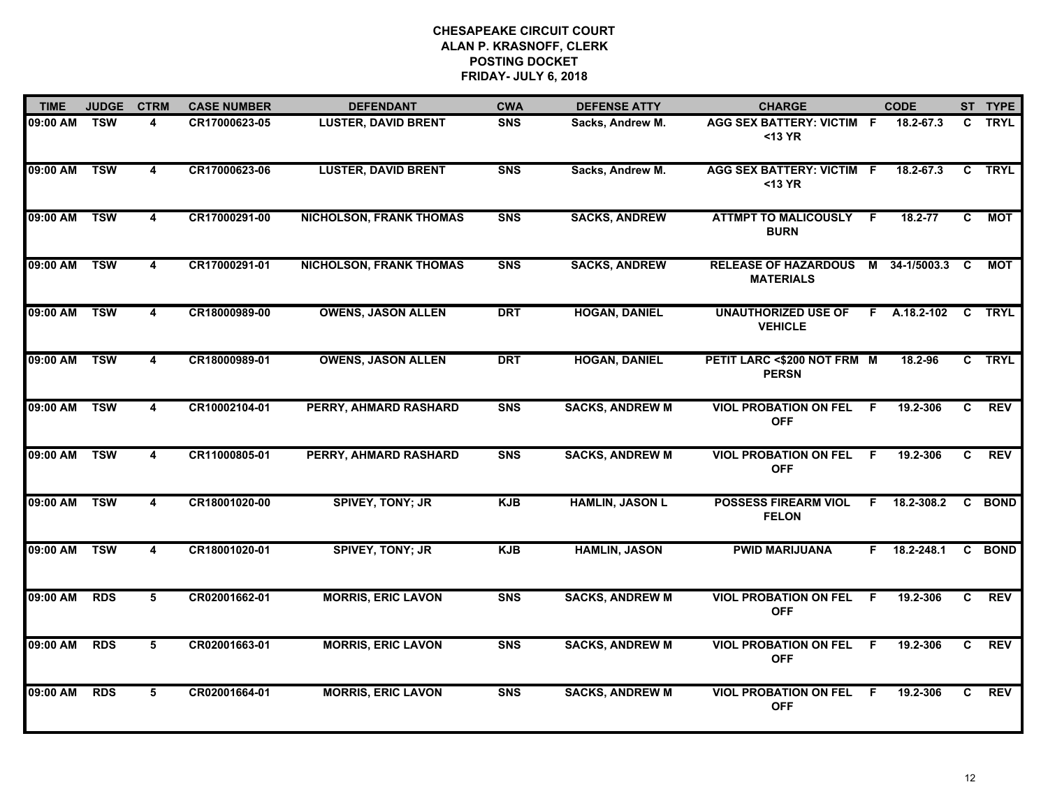| <b>TIME</b>  | <b>JUDGE</b> | <b>CTRM</b>             | <b>CASE NUMBER</b> | <b>DEFENDANT</b>               | <b>CWA</b>     | <b>DEFENSE ATTY</b>    | <b>CHARGE</b>                                            |     | <b>CODE</b>         |                | ST TYPE     |
|--------------|--------------|-------------------------|--------------------|--------------------------------|----------------|------------------------|----------------------------------------------------------|-----|---------------------|----------------|-------------|
| 09:00 AM     | <b>TSW</b>   | 4                       | CR17000623-05      | <b>LUSTER, DAVID BRENT</b>     | <b>SNS</b>     | Sacks, Andrew M.       | AGG SEX BATTERY: VICTIM F<br>$<$ 13 YR                   |     | 18.2-67.3           | C              | <b>TRYL</b> |
| 09:00 AM     | <b>TSW</b>   | $\overline{\mathbf{4}}$ | CR17000623-06      | <b>LUSTER, DAVID BRENT</b>     | <b>SNS</b>     | Sacks, Andrew M.       | <b>AGG SEX BATTERY: VICTIM F</b><br>$<$ 13 YR            |     | 18.2-67.3           | C              | <b>TRYL</b> |
| 09:00 AM     | <b>TSW</b>   | $\overline{\mathbf{4}}$ | CR17000291-00      | <b>NICHOLSON, FRANK THOMAS</b> | <b>SNS</b>     | <b>SACKS, ANDREW</b>   | <b>ATTMPT TO MALICOUSLY</b><br><b>BURN</b>               | -F  | $18.2 - 77$         | C              | <b>MOT</b>  |
| 09:00 AM     | <b>TSW</b>   | 4                       | CR17000291-01      | <b>NICHOLSON, FRANK THOMAS</b> | S <sub>N</sub> | <b>SACKS, ANDREW</b>   | RELEASE OF HAZARDOUS M 34-1/5003.3 C<br><b>MATERIALS</b> |     |                     |                | МОТ         |
| 09:00 AM     | <b>TSW</b>   | 4                       | CR18000989-00      | <b>OWENS, JASON ALLEN</b>      | <b>DRT</b>     | <b>HOGAN, DANIEL</b>   | <b>UNAUTHORIZED USE OF</b><br><b>VEHICLE</b>             |     | F A.18.2-102 C TRYL |                |             |
| 09:00 AM TSW |              | 4                       | CR18000989-01      | <b>OWENS, JASON ALLEN</b>      | <b>DRT</b>     | <b>HOGAN, DANIEL</b>   | PETIT LARC <\$200 NOT FRM M<br><b>PERSN</b>              |     | 18.2-96             |                | C TRYL      |
| 09:00 AM     | <b>TSW</b>   | $\overline{4}$          | CR10002104-01      | PERRY, AHMARD RASHARD          | <b>SNS</b>     | <b>SACKS, ANDREW M</b> | <b>VIOL PROBATION ON FEL</b><br><b>OFF</b>               | - F | 19.2-306            | C              | <b>REV</b>  |
| 09:00 AM TSW |              | $\overline{\mathbf{4}}$ | CR11000805-01      | <b>PERRY, AHMARD RASHARD</b>   | <b>SNS</b>     | <b>SACKS, ANDREW M</b> | <b>VIOL PROBATION ON FEL</b><br><b>OFF</b>               | -F  | 19.2-306            | C              | <b>REV</b>  |
| 09:00 AM     | <b>TSW</b>   | 4                       | CR18001020-00      | <b>SPIVEY, TONY; JR</b>        | <b>KJB</b>     | <b>HAMLIN, JASON L</b> | <b>POSSESS FIREARM VIOL</b><br><b>FELON</b>              | -F  | 18.2-308.2          |                | C BOND      |
| 09:00 AM     | <b>TSW</b>   | $\overline{\mathbf{4}}$ | CR18001020-01      | <b>SPIVEY, TONY; JR</b>        | <b>KJB</b>     | <b>HAMLIN, JASON</b>   | <b>PWID MARIJUANA</b>                                    | F.  | 18.2-248.1          |                | C BOND      |
| 09:00 AM     | <b>RDS</b>   | 5                       | CR02001662-01      | <b>MORRIS, ERIC LAVON</b>      | <b>SNS</b>     | <b>SACKS, ANDREW M</b> | <b>VIOL PROBATION ON FEL F</b><br><b>OFF</b>             |     | 19.2-306            | C.             | <b>REV</b>  |
| 09:00 AM     | <b>RDS</b>   | $5\overline{5}$         | CR02001663-01      | <b>MORRIS, ERIC LAVON</b>      | S <sub>N</sub> | <b>SACKS, ANDREW M</b> | <b>VIOL PROBATION ON FEL</b><br><b>OFF</b>               | F   | 19.2-306            | $\overline{c}$ | <b>REV</b>  |
| 09:00 AM     | <b>RDS</b>   | 5                       | CR02001664-01      | <b>MORRIS, ERIC LAVON</b>      | S <sub>N</sub> | <b>SACKS, ANDREW M</b> | <b>VIOL PROBATION ON FEL</b><br><b>OFF</b>               | -F  | 19.2-306            | C.             | <b>REV</b>  |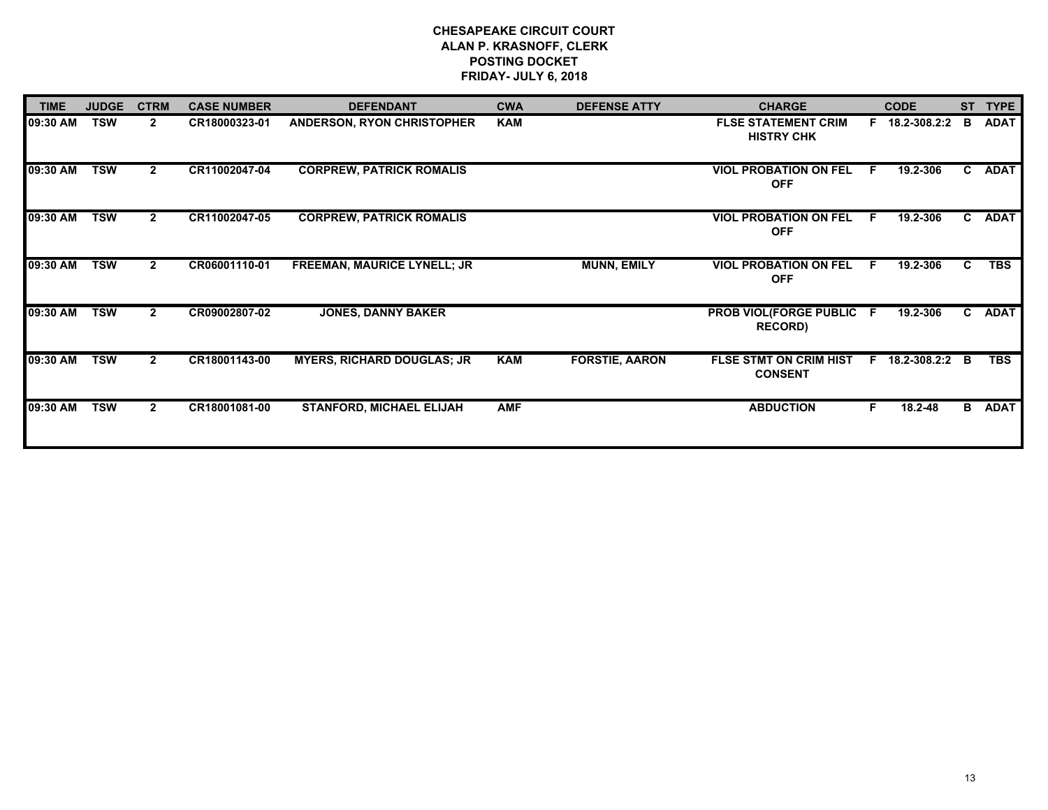| <b>TIME</b> | <b>JUDGE</b> | <b>CTRM</b>  | <b>CASE NUMBER</b> | <b>DEFENDANT</b>                   | <b>CWA</b> | <b>DEFENSE ATTY</b>   | <b>CHARGE</b>                                     |              | <b>CODE</b>    | <b>ST</b>    | <b>TYPE</b> |
|-------------|--------------|--------------|--------------------|------------------------------------|------------|-----------------------|---------------------------------------------------|--------------|----------------|--------------|-------------|
| 09:30 AM    | <b>TSW</b>   | $\mathbf{2}$ | CR18000323-01      | <b>ANDERSON, RYON CHRISTOPHER</b>  | <b>KAM</b> |                       | <b>FLSE STATEMENT CRIM</b><br><b>HISTRY CHK</b>   |              | F 18.2-308.2:2 | в            | <b>ADAT</b> |
| 09:30 AM    | <b>TSW</b>   | $\mathbf{2}$ | CR11002047-04      | <b>CORPREW, PATRICK ROMALIS</b>    |            |                       | <b>VIOL PROBATION ON FEL</b><br><b>OFF</b>        | -F           | 19.2-306       | C.           | <b>ADAT</b> |
| 09:30 AM    | <b>TSW</b>   | $\mathbf{2}$ | CR11002047-05      | <b>CORPREW, PATRICK ROMALIS</b>    |            |                       | <b>VIOL PROBATION ON FEL</b><br><b>OFF</b>        | -F           | 19.2-306       | $\mathbf{C}$ | <b>ADAT</b> |
| 09:30 AM    | <b>TSW</b>   | $\mathbf{2}$ | CR06001110-01      | <b>FREEMAN, MAURICE LYNELL; JR</b> |            | <b>MUNN, EMILY</b>    | <b>VIOL PROBATION ON FEL</b><br><b>OFF</b>        | $\mathsf{F}$ | 19.2-306       | C            | <b>TBS</b>  |
| 09:30 AM    | <b>TSW</b>   | $\mathbf{2}$ | CR09002807-02      | <b>JONES, DANNY BAKER</b>          |            |                       | <b>PROB VIOL(FORGE PUBLIC F</b><br><b>RECORD)</b> |              | 19.2-306       | C.           | <b>ADAT</b> |
| 09:30 AM    | <b>TSW</b>   | $\mathbf{2}$ | CR18001143-00      | <b>MYERS, RICHARD DOUGLAS; JR</b>  | <b>KAM</b> | <b>FORSTIE, AARON</b> | <b>FLSE STMT ON CRIM HIST</b><br><b>CONSENT</b>   | F.           | 18.2-308.2:2   | B            | <b>TBS</b>  |
| 09:30 AM    | <b>TSW</b>   | $\mathbf{2}$ | CR18001081-00      | <b>STANFORD, MICHAEL ELIJAH</b>    | <b>AMF</b> |                       | <b>ABDUCTION</b>                                  | F.           | 18.2-48        | B            | <b>ADAT</b> |